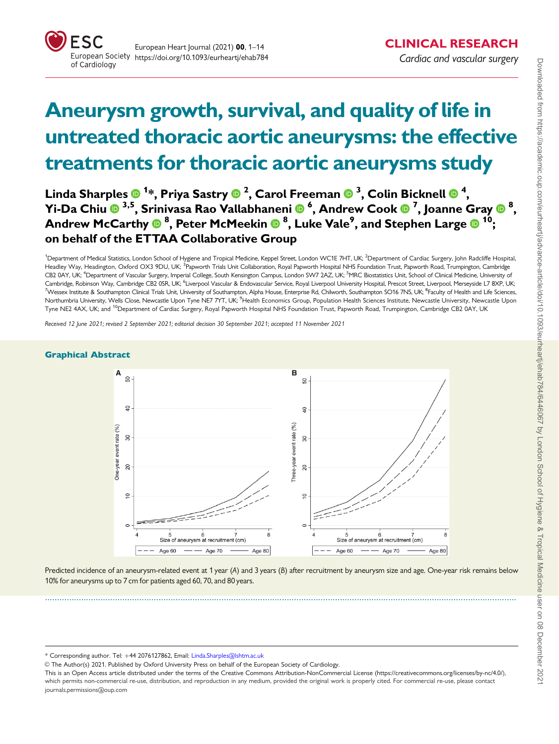

# Aneurysm growth, survival, and quality of life in untreated thoracic aortic aneurysms: the effective treatments for thoracic aortic aneurysms study

Linda Sharples <sup>1</sup> \*, Priya Sastry <sup>2</sup> , Carol Freeman <sup>3</sup> , Colin Bicknell <sup>4</sup> , Yi-Da Chiu 3,5, Srinivasa Rao Vallabhaneni <sup>6</sup> , Andrew Cook <sup>7</sup> , Joanne Gray <sup>8</sup> , Andrew McCarthy  $\mathbf{0}^{\ 8}$ , Peter McMeekin  $\mathbf{0}^{\ 8}$ , Luke Vale $^{\text{9}}$ , and Stephen Large  $\mathbf{0}^{\ 10}$ ; on behalf of the ETTAA Collaborative Group

<sup>1</sup>Department of Medical Statistics, London School of Hygiene and Tropical Medicine, Keppel Street, London WC1E 7HT, UK; <sup>2</sup>Department of Cardiac Surgery, John Radcliffe Hospital Headley Way, Headington, Oxford OX3 9DU, UK; <sup>3</sup>Papworth Trials Unit Collaboration, Royal Papworth Hospital NHS Foundation Trust, Papworth Road, Trumpington, Cambridge CB2 0AY, UK; <sup>4</sup>Department of Vascular Surgery, Imperial College, South Kensington Campus, London SW7 2AZ, UK; <sup>5</sup>MRC Biostatistics Unit, School of Clinical Medicine, University of Cambridge, Robinson Way, Cambridge CB2 0SR, UK; <sup>6</sup>Liverpool Vascular & Endovascular Service, Royal Liverpool University Hospital, Prescot Street, Liverpool, Merseyside L7 8XP, UK; <sup>7</sup>Wessex Institute & Southampton Clinical Trials Unit, University of Southampton, Alpha House, Enterprise Rd, Chilworth, Southampton SO16 7NS, UK; <sup>8</sup>Faculty of Health and Life Sciences Northumbria University, Wells Close, Newcastle Upon Tyne NE7 7YT, UK; <sup>9</sup>Health Economics Group, Population Health Sciences Institute, Newcastle University, Newcastle Upor Tyne NE2 4AX, UK; and <sup>10</sup>Department of Cardiac Surgery, Royal Papworth Hospital NHS Foundation Trust, Papworth Road, Trumpington, Cambridge CB2 0AY, UK

Received 12 June 2021; revised 2 September 2021; editorial decision 30 September 2021; accepted 11 November 2021

#### Graphical Abstract



Predicted incidence of an aneurysm-related event at 1 year (A) and 3 years (B) after recruitment by aneurysm size and age. One-year risk remains below 10% for aneurysms up to 7 cm for patients aged 60, 70, and 80 years.

...................................................................................................................................................................................................

\* Corresponding author. Tel: þ44 2076127862, Email: Linda.Sharples@lshtm.ac.uk

V<sup>C</sup> The Author(s) 2021. Published by Oxford University Press on behalf of the European Society of Cardiology.

This is an Open Access article distributed under the terms of the Creative Commons Attribution-NonCommercial License ([https://creativecommons.org/licenses/by-nc/4.0/\)](Undefined namespace prefix
xmlXPathCompOpEval: parameter error
xmlXPathEval: evaluation failed
), which permits non-commercial re-use, distribution, and reproduction in any medium, provided the original work is properly cited. For commercial re-use, please contact journals.permissions@oup.com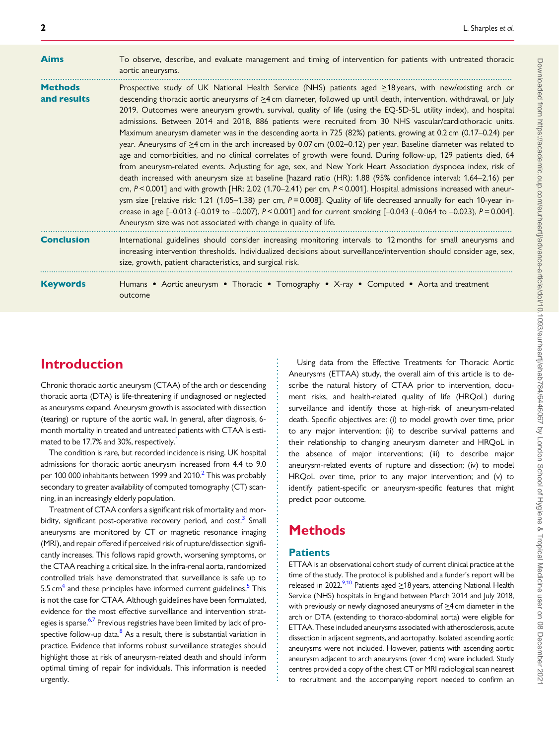<span id="page-1-0"></span>

| <b>Aims</b>                   | To observe, describe, and evaluate management and timing of intervention for patients with untreated thoracic<br>aortic aneurysms.                                                                                                                                                                                                                                                                                                                                                                                                                                                                                                                                                                                                                                                                                                                                                                                                                                                                                                                                                                                                                                                                                                                                                                                                                                                                                                                                                                                                                 |
|-------------------------------|----------------------------------------------------------------------------------------------------------------------------------------------------------------------------------------------------------------------------------------------------------------------------------------------------------------------------------------------------------------------------------------------------------------------------------------------------------------------------------------------------------------------------------------------------------------------------------------------------------------------------------------------------------------------------------------------------------------------------------------------------------------------------------------------------------------------------------------------------------------------------------------------------------------------------------------------------------------------------------------------------------------------------------------------------------------------------------------------------------------------------------------------------------------------------------------------------------------------------------------------------------------------------------------------------------------------------------------------------------------------------------------------------------------------------------------------------------------------------------------------------------------------------------------------------|
| <b>Methods</b><br>and results | Prospective study of UK National Health Service (NHS) patients aged ≥18 years, with new/existing arch or<br>descending thoracic aortic aneurysms of $\geq 4$ cm diameter, followed up until death, intervention, withdrawal, or July<br>2019. Outcomes were aneurysm growth, survival, quality of life (using the EQ-5D-5L utility index), and hospital<br>admissions. Between 2014 and 2018, 886 patients were recruited from 30 NHS vascular/cardiothoracic units.<br>Maximum aneurysm diameter was in the descending aorta in 725 (82%) patients, growing at 0.2 cm (0.17–0.24) per<br>year. Aneurysms of $\geq 4$ cm in the arch increased by 0.07 cm (0.02–0.12) per year. Baseline diameter was related to<br>age and comorbidities, and no clinical correlates of growth were found. During follow-up, 129 patients died, 64<br>from aneurysm-related events. Adjusting for age, sex, and New York Heart Association dyspnoea index, risk of<br>death increased with aneurysm size at baseline [hazard ratio (HR): 1.88 (95% confidence interval: 1.64-2.16) per<br>cm, $P < 0.001$ ] and with growth [HR: 2.02 (1.70–2.41) per cm, $P < 0.001$ ]. Hospital admissions increased with aneur-<br>ysm size [relative risk: 1.21 (1.05-1.38) per cm, $P = 0.008$ ]. Quality of life decreased annually for each 10-year in-<br>crease in age $[-0.013 (-0.019 \text{ to } -0.007), P < 0.001]$ and for current smoking $[-0.043 (-0.064 \text{ to } -0.023), P = 0.004]$ .<br>Aneurysm size was not associated with change in quality of life. |
| <b>Conclusion</b>             | International guidelines should consider increasing monitoring intervals to 12 months for small aneurysms and<br>increasing intervention thresholds. Individualized decisions about surveillance/intervention should consider age, sex,<br>size, growth, patient characteristics, and surgical risk.                                                                                                                                                                                                                                                                                                                                                                                                                                                                                                                                                                                                                                                                                                                                                                                                                                                                                                                                                                                                                                                                                                                                                                                                                                               |
| <b>Keywords</b>               | Humans • Aortic aneurysm • Thoracic • Tomography • X-ray • Computed • Aorta and treatment<br>outcome                                                                                                                                                                                                                                                                                                                                                                                                                                                                                                                                                                                                                                                                                                                                                                                                                                                                                                                                                                                                                                                                                                                                                                                                                                                                                                                                                                                                                                               |

# Introduction

Chronic thoracic aortic aneurysm (CTAA) of the arch or descending thoracic aorta (DTA) is life-threatening if undiagnosed or neglected as aneurysms expand. Aneurysm growth is associated with dissection (tearing) or rupture of the aortic wall. In general, after diagnosis, 6 month mortality in treated and untreated patients with CTAA is esti-mated to be [1](#page-13-0)7.7% and 30%, respectively.<sup>1</sup>

The condition is rare, but recorded incidence is rising. UK hospital admissions for thoracic aortic aneurysm increased from 4.4 to 9.0 per 100 000 inhabitants between 1999 and [2](#page-13-0)010.<sup>2</sup> This was probably secondary to greater availability of computed tomography (CT) scanning, in an increasingly elderly population.

Treatment of CTAA confers a significant risk of mortality and mor-bidity, significant post-operative recovery period, and cost.<sup>[3](#page-13-0)</sup> Small aneurysms are monitored by CT or magnetic resonance imaging (MRI), and repair offered if perceived risk of rupture/dissection significantly increases. This follows rapid growth, worsening symptoms, or the CTAA reaching a critical size. In the infra-renal aorta, randomized controlled trials have demonstrated that surveillance is safe up to 5[.5](#page-13-0) cm<sup>4</sup> and these principles have informed current guidelines.<sup>5</sup> This is not the case for CTAA. Although guidelines have been formulated, evidence for the most effective surveillance and intervention strat-egies is sparse.<sup>[6,7](#page-13-0)</sup> Previous registries have been limited by lack of prospective follow-up data. $8$  As a result, there is substantial variation in practice. Evidence that informs robust surveillance strategies should highlight those at risk of aneurysm-related death and should inform optimal timing of repair for individuals. This information is needed urgently.

Using data from the Effective Treatments for Thoracic Aortic Aneurysms (ETTAA) study, the overall aim of this article is to describe the natural history of CTAA prior to intervention, document risks, and health-related quality of life (HRQoL) during surveillance and identify those at high-risk of aneurysm-related death. Specific objectives are: (i) to model growth over time, prior to any major intervention; (ii) to describe survival patterns and their relationship to changing aneurysm diameter and HRQoL in the absence of major interventions; (iii) to describe major aneurysm-related events of rupture and dissection; (iv) to model HRQoL over time, prior to any major intervention; and (v) to identify patient-specific or aneurysm-specific features that might predict poor outcome.

# Methods

### **Patients**

. . . . . . . . . . . . . . . . . . . . . . . . . . . . . . . . . . . . . . . . . . . . . . . . . . . . . . . . . . . . . . . . . . . . . . . . . . . . . . . . . . . . . . . .

ETTAA is an observational cohort study of current clinical practice at the time of the study. The protocol is published and a funder's report will be released in 2022.<sup>[9,10](#page-13-0)</sup> Patients aged  $\geq$  18 years, attending National Health Service (NHS) hospitals in England between March 2014 and July 2018, with previously or newly diagnosed aneurysms of  $\geq$ 4 cm diameter in the arch or DTA (extending to thoraco-abdominal aorta) were eligible for ETTAA. These included aneurysms associated with atherosclerosis, acute dissection in adjacent segments, and aortopathy. Isolated ascending aortic aneurysms were not included. However, patients with ascending aortic aneurysm adjacent to arch aneurysms (over 4 cm) were included. Study centres provided a copy of the chest CT or MRI radiological scan nearest to recruitment and the accompanying report needed to confirm an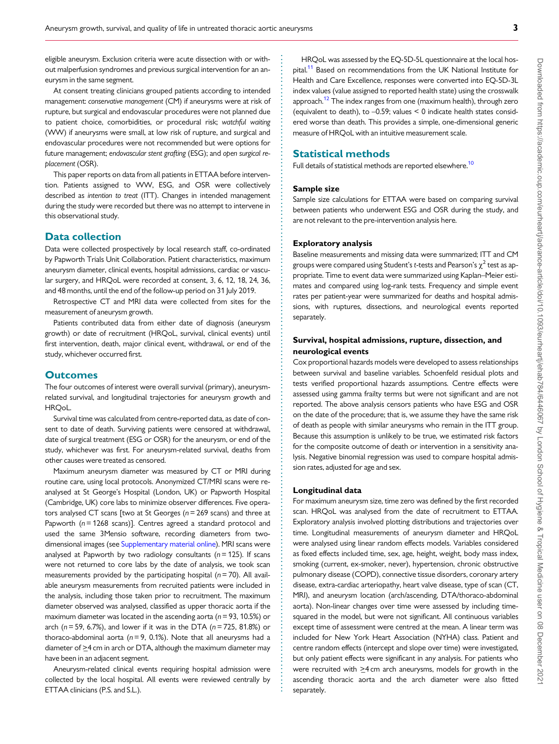<span id="page-2-0"></span>. eligible aneurysm. Exclusion criteria were acute dissection with or without malperfusion syndromes and previous surgical intervention for an aneurysm in the same segment.

At consent treating clinicians grouped patients according to intended management: conservative management (CM) if aneurysms were at risk of rupture, but surgical and endovascular procedures were not planned due to patient choice, comorbidities, or procedural risk; watchful waiting (WW) if aneurysms were small, at low risk of rupture, and surgical and endovascular procedures were not recommended but were options for future management; endovascular stent grafting (ESG); and open surgical replacement (OSR).

This paper reports on data from all patients in ETTAA before intervention. Patients assigned to WW, ESG, and OSR were collectively described as intention to treat (ITT). Changes in intended management during the study were recorded but there was no attempt to intervene in this observational study.

#### Data collection

Data were collected prospectively by local research staff, co-ordinated by Papworth Trials Unit Collaboration. Patient characteristics, maximum aneurysm diameter, clinical events, hospital admissions, cardiac or vascular surgery, and HRQoL were recorded at consent, 3, 6, 12, 18, 24, 36, and 48 months, until the end of the follow-up period on 31 July 2019.

Retrospective CT and MRI data were collected from sites for the measurement of aneurysm growth.

Patients contributed data from either date of diagnosis (aneurysm growth) or date of recruitment (HRQoL, survival, clinical events) until first intervention, death, major clinical event, withdrawal, or end of the study, whichever occurred first.

#### **Outcomes**

The four outcomes of interest were overall survival (primary), aneurysmrelated survival, and longitudinal trajectories for aneurysm growth and HRQoL.

Survival time was calculated from centre-reported data, as date of consent to date of death. Surviving patients were censored at withdrawal, date of surgical treatment (ESG or OSR) for the aneurysm, or end of the study, whichever was first. For aneurysm-related survival, deaths from other causes were treated as censored.

Maximum aneurysm diameter was measured by CT or MRI during routine care, using local protocols. Anonymized CT/MRI scans were reanalysed at St George's Hospital (London, UK) or Papworth Hospital (Cambridge, UK) core labs to minimize observer differences. Five operators analysed CT scans [two at St Georges  $(n=269 \text{ scans})$  and three at Papworth  $(n = 1268 \text{ scans})$ ]. Centres agreed a standard protocol and used the same 3Mensio software, recording diameters from twodimensional images (see [Supplementary material online\)](https://academic.oup.com/eurheartj/article-lookup/doi/10.1093/eurheartj/ehab784#supplementary-data). MRI scans were analysed at Papworth by two radiology consultants ( $n = 125$ ). If scans were not returned to core labs by the date of analysis, we took scan measurements provided by the participating hospital ( $n = 70$ ). All available aneurysm measurements from recruited patients were included in the analysis, including those taken prior to recruitment. The maximum diameter observed was analysed, classified as upper thoracic aorta if the maximum diameter was located in the ascending aorta ( $n = 93$ , 10.5%) or arch ( $n = 59$ , 6.7%), and lower if it was in the DTA ( $n = 725$ , 81.8%) or thoraco-abdominal aorta ( $n = 9$ , 0.1%). Note that all aneurysms had a diameter of  $\geq$ 4 cm in arch or DTA, although the maximum diameter may have been in an adjacent segment.

Aneurysm-related clinical events requiring hospital admission were collected by the local hospital. All events were reviewed centrally by ETTAA clinicians (P.S. and S.L.).

HRQoL was assessed by the EQ-5D-5L questionnaire at the local hos-pital.<sup>[11](#page-13-0)</sup> Based on recommendations from the UK National Institute for Health and Care Excellence, responses were converted into EQ-5D-3L index values (value assigned to reported health state) using the crosswalk approach.<sup>[12](#page-13-0)</sup> The index ranges from one (maximum health), through zero (equivalent to death), to –0.59; values < 0 indicate health states considered worse than death. This provides a simple, one-dimensional generic measure of HRQoL with an intuitive measurement scale.

#### Statistical methods

Full details of statistical methods are reported elsewhere.<sup>[10](#page-13-0)</sup>

#### Sample size

Sample size calculations for ETTAA were based on comparing survival between patients who underwent ESG and OSR during the study, and are not relevant to the pre-intervention analysis here.

#### Exploratory analysis

Baseline measurements and missing data were summarized; ITT and CM groups were compared using Student's t-tests and Pearson's  $\chi^2$  test as appropriate. Time to event data were summarized using Kaplan–Meier estimates and compared using log-rank tests. Frequency and simple event rates per patient-year were summarized for deaths and hospital admissions, with ruptures, dissections, and neurological events reported separately.

#### Survival, hospital admissions, rupture, dissection, and neurological events

Cox proportional hazards models were developed to assess relationships between survival and baseline variables. Schoenfeld residual plots and tests verified proportional hazards assumptions. Centre effects were assessed using gamma frailty terms but were not significant and are not reported. The above analysis censors patients who have ESG and OSR on the date of the procedure; that is, we assume they have the same risk of death as people with similar aneurysms who remain in the ITT group. Because this assumption is unlikely to be true, we estimated risk factors for the composite outcome of death or intervention in a sensitivity analysis. Negative binomial regression was used to compare hospital admission rates, adjusted for age and sex.

#### Longitudinal data

. . . . . . . . . . . . . . . . . . . . . . . . . . . . . . . . . . . . . . . . . . . . . . . . . . . . . . . . . . . . . . . . . . . . . . . . . . . . . . . . . . . . . . . . . . . . . . . . . . . . . . . . . . . . . . . . . . . . . . . . . . . . . . . . . . . . . . . . . . . . . . . . . . . . . . . . . . . . . . . . . . . . . . . . . . . .

For maximum aneurysm size, time zero was defined by the first recorded scan. HRQoL was analysed from the date of recruitment to ETTAA. Exploratory analysis involved plotting distributions and trajectories over time. Longitudinal measurements of aneurysm diameter and HRQoL were analysed using linear random effects models. Variables considered as fixed effects included time, sex, age, height, weight, body mass index, smoking (current, ex-smoker, never), hypertension, chronic obstructive pulmonary disease (COPD), connective tissue disorders, coronary artery disease, extra-cardiac arteriopathy, heart valve disease, type of scan (CT, MRI), and aneurysm location (arch/ascending, DTA/thoraco-abdominal aorta). Non-linear changes over time were assessed by including timesquared in the model, but were not significant. All continuous variables except time of assessment were centred at the mean. A linear term was included for New York Heart Association (NYHA) class. Patient and centre random effects (intercept and slope over time) were investigated, but only patient effects were significant in any analysis. For patients who were recruited with  $\geq$ 4 cm arch aneurysms, models for growth in the ascending thoracic aorta and the arch diameter were also fitted separately.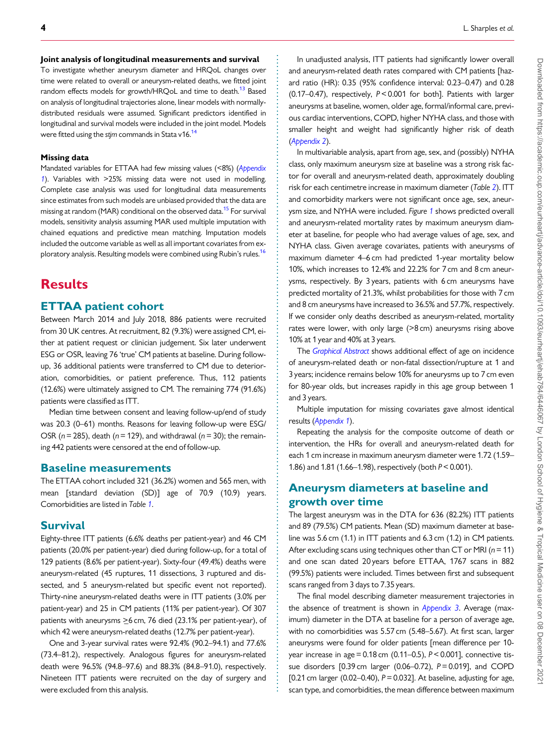#### <span id="page-3-0"></span>. Joint analysis of longitudinal measurements and survival

To investigate whether aneurysm diameter and HRQoL changes over time were related to overall or aneurysm-related deaths, we fitted joint random effects models for growth/HRQoL and time to death.<sup>13</sup> Based on analysis of longitudinal trajectories alone, linear models with normallydistributed residuals were assumed. Significant predictors identified in longitudinal and survival models were included in the joint model. Models were fitted using the stjm commands in Stata v16.<sup>[14](#page-13-0)</sup>

#### Missing data

Mandated variables for ETTAA had few missing values (<8%) ([Appendix](#page-9-0) [1](#page-9-0)). Variables with >25% missing data were not used in modelling. Complete case analysis was used for longitudinal data measurements since estimates from such models are unbiased provided that the data are missing at random (MAR) conditional on the observed data.<sup>15</sup> For survival models, sensitivity analysis assuming MAR used multiple imputation with chained equations and predictive mean matching. Imputation models included the outcome variable as well as all important covariates from ex-ploratory analysis. Resulting models were combined using Rubin's rules.<sup>[16](#page-13-0)</sup>

# **Results**

#### ETTAA patient cohort

Between March 2014 and July 2018, 886 patients were recruited from 30 UK centres. At recruitment, 82 (9.3%) were assigned CM, either at patient request or clinician judgement. Six later underwent ESG or OSR, leaving 76 'true' CM patients at baseline. During followup, 36 additional patients were transferred to CM due to deterioration, comorbidities, or patient preference. Thus, 112 patients (12.6%) were ultimately assigned to CM. The remaining 774 (91.6%) patients were classified as ITT.

Median time between consent and leaving follow-up/end of study was 20.3 (0–61) months. Reasons for leaving follow-up were ESG/ OSR ( $n = 285$ ), death ( $n = 129$ ), and withdrawal ( $n = 30$ ); the remaining 442 patients were censored at the end of follow-up.

#### Baseline measurements

The ETTAA cohort included 321 (36.2%) women and 565 men, with mean [standard deviation (SD)] age of 70.9 (10.9) years. Comorbidities are listed in Table [1](#page-4-0).

#### Survival

Eighty-three ITT patients (6.6% deaths per patient-year) and 46 CM patients (20.0% per patient-year) died during follow-up, for a total of 129 patients (8.6% per patient-year). Sixty-four (49.4%) deaths were aneurysm-related (45 ruptures, 11 dissections, 3 ruptured and dissected, and 5 aneurysm-related but specific event not reported). Thirty-nine aneurysm-related deaths were in ITT patients (3.0% per patient-year) and 25 in CM patients (11% per patient-year). Of 307 patients with aneurysms  $\geq$ 6 cm, 76 died (23.1% per patient-year), of which 42 were aneurysm-related deaths (12.7% per patient-year).

One and 3-year survival rates were 92.4% (90.2–94.1) and 77.6% (73.4–81.2), respectively. Analogous figures for aneurysm-related death were 96.5% (94.8–97.6) and 88.3% (84.8–91.0), respectively. Nineteen ITT patients were recruited on the day of surgery and were excluded from this analysis.

. . . . . . . . . . . . . . . . . . . . . . . . . . . . . . . . . . . . . . . . . . . . . . . . . . . . . . . . . . . . . . . . . . . . . . . . . . . . . . . . . . . . . . . . . . . . . . . . . . . . . . . . . . . . . . . . . . . . . . . . . . . . . . . . . . . . . . . . . . . . . . . . . . . . . . . . . . . . . . . . . . . . . . . . . . . .

In unadjusted analysis, ITT patients had significantly lower overall and aneurysm-related death rates compared with CM patients [hazard ratio (HR): 0.35 (95% confidence interval: 0.23–0.47) and 0.28 (0.17–0.47), respectively, P < 0.001 for both]. Patients with larger aneurysms at baseline, women, older age, formal/informal care, previous cardiac interventions, COPD, higher NYHA class, and those with smaller height and weight had significantly higher risk of death ([Appendix 2](#page-11-0)).

In multivariable analysis, apart from age, sex, and (possibly) NYHA class, only maximum aneurysm size at baseline was a strong risk factor for overall and aneurysm-related death, approximately doubling risk for each centimetre increase in maximum diameter (Table [2](#page-5-0)). ITT and comorbidity markers were not significant once age, sex, aneurysm size, and NYHA were included. Figure [1](#page-6-0) shows predicted overall and aneurysm-related mortality rates by maximum aneurysm diameter at baseline, for people who had average values of age, sex, and NYHA class. Given average covariates, patients with aneurysms of maximum diameter 4–6 cm had predicted 1-year mortality below 10%, which increases to 12.4% and 22.2% for 7 cm and 8 cm aneurysms, respectively. By 3 years, patients with 6 cm aneurysms have predicted mortality of 21.3%, whilst probabilities for those with 7 cm and 8 cm aneurysms have increased to 36.5% and 57.7%, respectively. If we consider only deaths described as aneurysm-related, mortality rates were lower, with only large (>8 cm) aneurysms rising above 10% at 1 year and 40% at 3 years.

The Graphical Abstract shows additional effect of age on incidence of aneurysm-related death or non-fatal dissection/rupture at 1 and 3 years; incidence remains below 10% for aneurysms up to 7 cm even for 80-year olds, but increases rapidly in this age group between 1 and 3 years.

Multiple imputation for missing covariates gave almost identical results ([Appendix 1](#page-9-0)).

Repeating the analysis for the composite outcome of death or intervention, the HRs for overall and aneurysm-related death for each 1 cm increase in maximum aneurysm diameter were 1.72 (1.59– 1.86) and 1.81 (1.66–1.98), respectively (both P< 0.001).

### Aneurysm diameters at baseline and growth over time

The largest aneurysm was in the DTA for 636 (82.2%) ITT patients and 89 (79.5%) CM patients. Mean (SD) maximum diameter at baseline was 5.6 cm (1.1) in ITT patients and 6.3 cm (1.2) in CM patients. After excluding scans using techniques other than CT or MRI ( $n = 11$ ) and one scan dated 20 years before ETTAA, 1767 scans in 882 (99.5%) patients were included. Times between first and subsequent scans ranged from 3 days to 7.35 years.

The final model describing diameter measurement trajectories in the absence of treatment is shown in [Appendix 3](#page-11-0). Average (maximum) diameter in the DTA at baseline for a person of average age, with no comorbidities was 5.57 cm (5.48–5.67). At first scan, larger aneurysms were found for older patients [mean difference per 10 year increase in age  $= 0.18$  cm (0.11–0.5),  $P < 0.001$ ], connective tissue disorders  $[0.39 \text{ cm}$  larger  $(0.06-0.72)$ ,  $P = 0.019$ ], and COPD [0.21 cm larger (0.02–0.40),  $P = 0.032$ ]. At baseline, adjusting for age, scan type, and comorbidities, the mean difference between maximum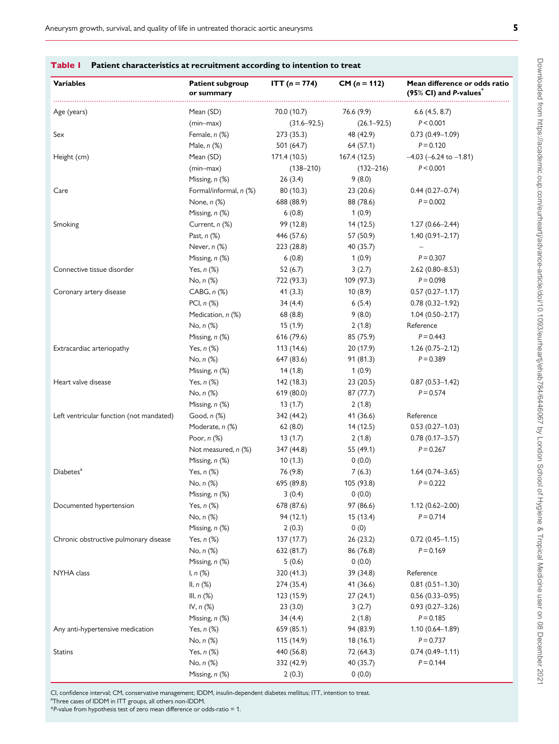| ×  | × |    |   |
|----|---|----|---|
|    |   |    |   |
|    |   |    | I |
| л. |   | ۰, |   |

Downloaded from https://academic.oup.com/eurheartj/advance-article/doi/10.1093/eurheartj/ehab784/6067 by London School of Hygiene & Tropical Medicine user on 08 December 202 Downloaded from https://academic.oup.com/eurheartj/advance-article/doi/10.1093/eurheartj/ehab784/6446067 by London School of Hygiene & Tropical Medicine user on 08 December 2021

<span id="page-4-0"></span>

| <b>Variables</b>                         | <b>Patient subgroup</b><br>or summary | <b>ITT</b> ( $n = 774$ ) | $CM (n = 112)$  | Mean difference or odds ratio<br>$(95\%$ CI) and P-values |
|------------------------------------------|---------------------------------------|--------------------------|-----------------|-----------------------------------------------------------|
| Age (years)                              | Mean (SD)                             | 70.0 (10.7)              | 76.6 (9.9)      | $6.6$ (4.5, 8.7)                                          |
|                                          | (min-max)                             | $(31.6 - 92.5)$          | $(26.1 - 92.5)$ | P < 0.001                                                 |
| Sex                                      | Female, n (%)                         | 273(35.3)                | 48 (42.9)       | $0.73(0.49 - 1.09)$                                       |
|                                          | Male, $n$ $%$                         | 501 (64.7)               | 64 (57.1)       | $P = 0.120$                                               |
| Height (cm)                              | Mean (SD)                             | 171.4 (10.5)             | 167.4 (12.5)    | $-4.03$ (-6.24 to $-1.81$ )                               |
|                                          | $(min-max)$                           | $(138 - 210)$            | $(132 - 216)$   | P < 0.001                                                 |
|                                          | Missing, n (%)                        | 26(3.4)                  | 9(8.0)          |                                                           |
| Care                                     | Formal/informal, n (%)                | 80 (10.3)                | 23(20.6)        | $0.44(0.27-0.74)$                                         |
|                                          | None, $n$ $(\%)$                      | 688 (88.9)               | 88 (78.6)       | $P = 0.002$                                               |
|                                          | Missing, n (%)                        | 6(0.8)                   | 1(0.9)          |                                                           |
| Smoking                                  | Current, n (%)                        | 99 (12.8)                | 14(12.5)        | $1.27(0.66 - 2.44)$                                       |
|                                          | Past, $n$ $(\%)$                      | 446 (57.6)               | 57 (50.9)       | $1.40(0.91 - 2.17)$                                       |
|                                          | Never, $n$ $%$                        | 223(28.8)                | 40 (35.7)       | $\overline{\phantom{0}}$                                  |
|                                          | Missing, n (%)                        | 6(0.8)                   | 1(0.9)          | $P = 0.307$                                               |
| Connective tissue disorder               | Yes, $n$ $%$                          | 52(6.7)                  | 3(2.7)          | $2.62(0.80 - 8.53)$                                       |
|                                          | $No, n (\%)$                          | 722 (93.3)               | 109 (97.3)      | $P = 0.098$                                               |
| Coronary artery disease                  | CABG, n <sub>(%)</sub>                | 41(3.3)                  | 10(8.9)         | $0.57(0.27 - 1.17)$                                       |
|                                          | PCI, $n$ $(\%)$                       | 34 (4.4)                 | 6(5.4)          | $0.78(0.32 - 1.92)$                                       |
|                                          | Medication, n (%)                     | 68 (8.8)                 | 9(8.0)          | $1.04(0.50 - 2.17)$                                       |
|                                          | No, $n$ $(\%)$                        | 15(1.9)                  | 2(1.8)          | Reference                                                 |
|                                          | Missing, n (%)                        | 616 (79.6)               | 85 (75.9)       | $P = 0.443$                                               |
| Extracardiac arteriopathy                | Yes, $n$ $(\%)$                       | 113 (14.6)               | 20(17.9)        | $1.26(0.75-2.12)$                                         |
|                                          | No, $n$ $(\%)$                        | 647 (83.6)               | 91(81.3)        | $P = 0.389$                                               |
|                                          | Missing, n (%)                        | 14(1.8)                  | 1(0.9)          |                                                           |
| Heart valve disease                      | Yes, $n$ $(\%)$                       | 142 (18.3)               | 23(20.5)        | $0.87(0.53 - 1.42)$                                       |
|                                          | No, $n$ $(\%)$                        | 619 (80.0)               | 87 (77.7)       | $P = 0.574$                                               |
|                                          | Missing, n (%)                        | 13(1.7)                  | 2(1.8)          |                                                           |
| Left ventricular function (not mandated) | Good, n (%)                           | 342 (44.2)               | 41 (36.6)       | Reference                                                 |
|                                          | Moderate, n (%)                       | 62(8.0)                  | 14(12.5)        | $0.53(0.27-1.03)$                                         |
|                                          | Poor, $n$ $%$                         | 13(1.7)                  | 2(1.8)          | $0.78(0.17 - 3.57)$                                       |
|                                          | Not measured, n (%)                   | 347 (44.8)               | 55 (49.1)       | $P = 0.267$                                               |
|                                          | Missing, n (%)                        | 10(1.3)                  | 0(0.0)          |                                                           |
| Diabetes <sup>a</sup>                    | Yes, $n$ $(\%)$                       | 76 (9.8)                 | 7(6.3)          | $1.64(0.74 - 3.65)$                                       |
|                                          | No, n (%)                             | 695 (89.8)               | 105 (93.8)      | $P = 0.222$                                               |
|                                          | Missing, n (%)                        | 3(0.4)                   | 0(0.0)          |                                                           |
| Documented hypertension                  | Yes, $n$ $(\%)$                       | 678 (87.6)               | 97 (86.6)       | $1.12(0.62 - 2.00)$                                       |
|                                          | No, n (%)                             | 94 (12.1)                | 15(13.4)        | $P = 0.714$                                               |
|                                          | Missing, n (%)                        | 2(0.3)                   | 0(0)            |                                                           |
| Chronic obstructive pulmonary disease    | Yes, $n$ $(\%)$                       | 137 (17.7)               | 26(23.2)        | $0.72(0.45 - 1.15)$                                       |
|                                          | No, n (%)                             | 632 (81.7)               | 86 (76.8)       | $P = 0.169$                                               |
|                                          | Missing, n (%)                        | 5(0.6)                   | 0(0.0)          |                                                           |
| NYHA class                               | 1, n (%)                              | 320 (41.3)               | 39 (34.8)       | Reference                                                 |
|                                          | II, $n$ $(\%)$                        | 274 (35.4)               | 41 (36.6)       | $0.81(0.51 - 1.30)$                                       |
|                                          | III, $n$ $(\%)$                       | 123 (15.9)               | 27(24.1)        | $0.56(0.33 - 0.95)$                                       |
|                                          | IV, n (%)                             | 23(3.0)                  | 3(2.7)          | $0.93(0.27 - 3.26)$                                       |
|                                          | Missing, n (%)                        | 34(4.4)                  | 2(1.8)          | $P = 0.185$                                               |
| Any anti-hypertensive medication         | Yes, $n$ $(\%)$                       | 659 (85.1)               | 94 (83.9)       | $1.10(0.64 - 1.89)$                                       |
|                                          | No, n (%)                             | 115 (14.9)               | 18(16.1)        | $P = 0.737$                                               |
| <b>Statins</b>                           | Yes, $n$ $(\%)$                       | 440 (56.8)               | 72 (64.3)       | $0.74(0.49 - 1.11)$                                       |
|                                          | No, n (%)                             | 332 (42.9)               | 40 (35.7)       | $P = 0.144$                                               |
|                                          | Missing, n (%)                        | 2(0.3)                   | 0(0.0)          |                                                           |

| CI, confidence interval; CM, conservative management; IDDM, insulin-dependent diabetes mellitus; ITT, intention to treat. |  |
|---------------------------------------------------------------------------------------------------------------------------|--|
| <sup>a</sup> Three cases of IDDM in ITT groups, all others non-IDDM.                                                      |  |

<sup>a</sup>Thr \*P-value from hypothesis test of zero mean difference or odds-ratio = 1.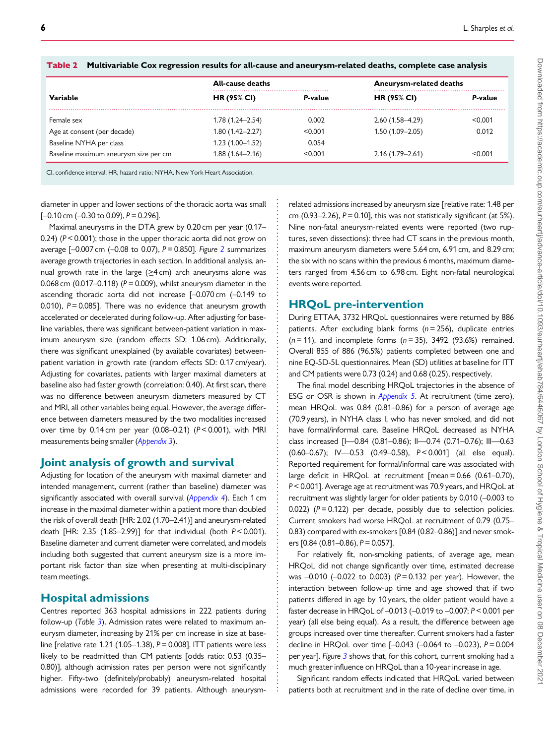|                                       | <b>All-cause deaths</b> |         |                     | Aneurysm-related deaths |  |
|---------------------------------------|-------------------------|---------|---------------------|-------------------------|--|
| Variable                              | <b>HR (95% CI)</b>      | P-value | <b>HR (95% CI)</b>  | P-value                 |  |
| Female sex                            | $1.78(1.24 - 2.54)$     | 0.002   | $2.60(1.58 - 4.29)$ | < 0.001                 |  |
| Age at consent (per decade)           | $1.80(1.42 - 2.27)$     | < 0.001 | $1.50(1.09 - 2.05)$ | 0.012                   |  |
| Baseline NYHA per class               | $1.23(1.00-1.52)$       | 0.054   |                     |                         |  |
| Baseline maximum aneurysm size per cm | 1.88 (1.64–2.16)        | < 0.001 | $2.16(1.79 - 2.61)$ | < 0.001                 |  |

. . . . . . . . . . . . . . . . . . . . . . . . . . . . . . . . . . . . . . . . . . . . . . . . . . . . . . . . . . . . . . . . . . . . . . . . . . . . . . . . . . . . . . . . . . . . . . . . . . . . . . . . . . . . . . . . . . . . . . . . . . . . . . . . . . . . .

<span id="page-5-0"></span>

|  | Table 2 Multivariable Cox regression results for all-cause and aneurysm-related deaths, complete case analysis |  |  |  |  |  |  |  |
|--|----------------------------------------------------------------------------------------------------------------|--|--|--|--|--|--|--|
|--|----------------------------------------------------------------------------------------------------------------|--|--|--|--|--|--|--|

CI, confidence interval; HR, hazard ratio; NYHA, New York Heart Association.

. diameter in upper and lower sections of the thoracic aorta was small  $[-0.10 \text{ cm } (-0.30 \text{ to } 0.09), P = 0.296]$ .

Maximal aneurysms in the DTA grew by 0.20 cm per year (0.17– 0.24) (P< 0.001); those in the upper thoracic aorta did not grow on average  $[-0.007 \text{ cm } (-0.08 \text{ to } 0.07)$ ,  $P = 0.850$ ]. Figure [2](#page-6-0) summarizes average growth trajectories in each section. In additional analysis, annual growth rate in the large  $(≥4 \text{ cm})$  arch aneurysms alone was 0.068 cm (0.017–0.118) ( $P = 0.009$ ), whilst aneurysm diameter in the ascending thoracic aorta did not increase [–0.070 cm (–0.149 to 0.010),  $P = 0.085$ ]. There was no evidence that aneurysm growth accelerated or decelerated during follow-up. After adjusting for baseline variables, there was significant between-patient variation in maximum aneurysm size (random effects SD: 1.06 cm). Additionally, there was significant unexplained (by available covariates) betweenpatient variation in growth rate (random effects SD: 0.17 cm/year). Adjusting for covariates, patients with larger maximal diameters at baseline also had faster growth (correlation: 0.40). At first scan, there was no difference between aneurysm diameters measured by CT and MRI, all other variables being equal. However, the average difference between diameters measured by the two modalities increased over time by  $0.14$  cm per year  $(0.08-0.21)$   $(P < 0.001)$ , with MRI measurements being smaller ([Appendix 3](#page-11-0)).

#### Joint analysis of growth and survival

Adjusting for location of the aneurysm with maximal diameter and intended management, current (rather than baseline) diameter was significantly associated with overall survival ([Appendix 4](#page-12-0)). Each 1 cm increase in the maximal diameter within a patient more than doubled the risk of overall death [HR: 2.02 (1.70–2.41)] and aneurysm-related death [HR: 2.35 (1.85–2.99)] for that individual (both P< 0.001). Baseline diameter and current diameter were correlated, and models including both suggested that current aneurysm size is a more important risk factor than size when presenting at multi-disciplinary team meetings.

#### Hospital admissions

Centres reported 363 hospital admissions in 222 patients during follow-up (Table  $3$ ). Admission rates were related to maximum aneurysm diameter, increasing by 21% per cm increase in size at baseline [relative rate 1.21 (1.05–1.38),  $P = 0.008$ ]. ITT patients were less likely to be readmitted than CM patients [odds ratio: 0.53 (0.35– 0.80)], although admission rates per person were not significantly higher. Fifty-two (definitely/probably) aneurysm-related hospital admissions were recorded for 39 patients. Although aneurysmrelated admissions increased by aneurysm size [relative rate: 1.48 per cm (0.93–2.26),  $P = 0.10$ ], this was not statistically significant (at 5%). Nine non-fatal aneurysm-related events were reported (two ruptures, seven dissections): three had CT scans in the previous month, maximum aneurysm diameters were 5.64 cm, 6.91 cm, and 8.29 cm; the six with no scans within the previous 6 months, maximum diameters ranged from 4.56 cm to 6.98 cm. Eight non-fatal neurological events were reported.

#### HRQoL pre-intervention

During ETTAA, 3732 HRQoL questionnaires were returned by 886 patients. After excluding blank forms ( $n = 256$ ), duplicate entries  $(n = 11)$ , and incomplete forms  $(n = 35)$ , 3492 (93.6%) remained. Overall 855 of 886 (96.5%) patients completed between one and nine EQ-5D-5L questionnaires. Mean (SD) utilities at baseline for ITT and CM patients were 0.73 (0.24) and 0.68 (0.25), respectively.

The final model describing HRQoL trajectories in the absence of ESG or OSR is shown in [Appendix 5](#page-12-0). At recruitment (time zero), mean HRQoL was 0.84 (0.81–0.86) for a person of average age (70.9 years), in NYHA class I, who has never smoked, and did not have formal/informal care. Baseline HRQoL decreased as NYHA class increased [I—0.84 (0.81–0.86); II—0.74 (0.71–0.76); III—0.63 (0.60–0.67); IV—0.53 (0.49–0.58), P< 0.001] (all else equal). Reported requirement for formal/informal care was associated with large deficit in HRQoL at recruitment [mean = 0.66 (0.61–0.70), P< 0.001]. Average age at recruitment was 70.9 years, and HRQoL at recruitment was slightly larger for older patients by 0.010 (–0.003 to 0.022) ( $P = 0.122$ ) per decade, possibly due to selection policies. Current smokers had worse HRQoL at recruitment of 0.79 (0.75– 0.83) compared with ex-smokers [0.84 (0.82–0.86)] and never smokers [0.84 (0.81–0.86), P= 0.057].

For relatively fit, non-smoking patients, of average age, mean HRQoL did not change significantly over time, estimated decrease was  $-0.010$  ( $-0.022$  to 0.003) ( $P = 0.132$  per year). However, the interaction between follow-up time and age showed that if two patients differed in age by 10 years, the older patient would have a faster decrease in HRQoL of –0.013 (–0.019 to –0.007; P< 0.001 per year) (all else being equal). As a result, the difference between age groups increased over time thereafter. Current smokers had a faster decline in HRQoL over time [–0.043 (–0.064 to –0.023), P = 0.004 per year]. Figure [3](#page-7-0) shows that, for this cohort, current smoking had a much greater influence on HRQoL than a 10-year increase in age.

Significant random effects indicated that HRQoL varied between patients both at recruitment and in the rate of decline over time, in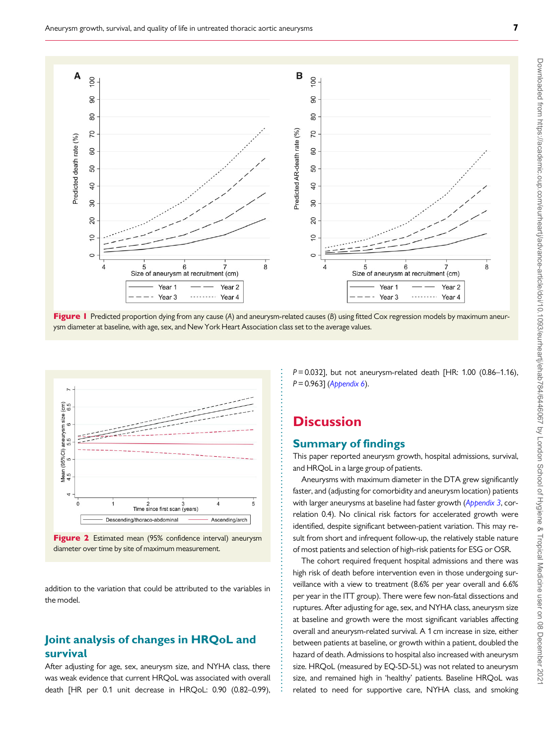<span id="page-6-0"></span>

Figure 1 Predicted proportion dying from any cause (A) and aneurysm-related causes (B) using fitted Cox regression models by maximum aneurysm diameter at baseline, with age, sex, and New York Heart Association class set to the average values.

. . . . . . . . . . . . . . . . . . . . . . . . . . . . . . . . . . . . . . . . . . . . . . . . . . . . . . . . . . . . . . . . . . . . . . . . . . . . . . . . . . . . . . . .





addition to the variation that could be attributed to the variables in the model.

## Joint analysis of changes in HRQoL and survival

After adjusting for age, sex, aneurysm size, and NYHA class, there was weak evidence that current HRQoL was associated with overall death [HR per 0.1 unit decrease in HRQoL: 0.90 (0.82–0.99),  $P = 0.032$ ], but not aneurysm-related death [HR: 1.00 (0.86–1.16),  $P = 0.963$ ] ([Appendix 6](#page-13-0)).

# **Discussion**

### Summary of findings

This paper reported aneurysm growth, hospital admissions, survival, and HRQoL in a large group of patients.

Aneurysms with maximum diameter in the DTA grew significantly faster, and (adjusting for comorbidity and aneurysm location) patients with larger aneurysms at baseline had faster growth ([Appendix 3](#page-11-0), correlation 0.4). No clinical risk factors for accelerated growth were identified, despite significant between-patient variation. This may result from short and infrequent follow-up, the relatively stable nature of most patients and selection of high-risk patients for ESG or OSR.

The cohort required frequent hospital admissions and there was high risk of death before intervention even in those undergoing surveillance with a view to treatment (8.6% per year overall and 6.6% per year in the ITT group). There were few non-fatal dissections and ruptures. After adjusting for age, sex, and NYHA class, aneurysm size at baseline and growth were the most significant variables affecting overall and aneurysm-related survival. A 1 cm increase in size, either between patients at baseline, or growth within a patient, doubled the hazard of death. Admissions to hospital also increased with aneurysm size. HRQoL (measured by EQ-5D-5L) was not related to aneurysm size, and remained high in 'healthy' patients. Baseline HRQoL was related to need for supportive care, NYHA class, and smoking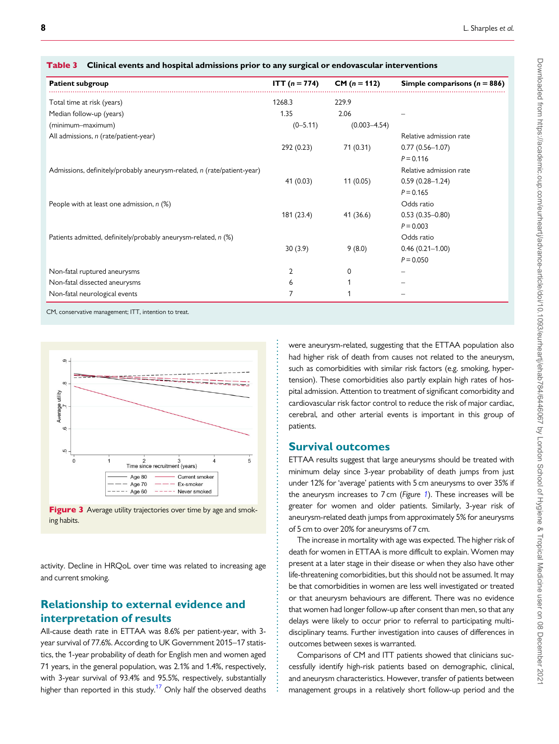| <b>Patient subgroup</b>                                                 | <b>ITT</b> ( $n = 774$ ) | $CM (n = 112)$   | Simple comparisons ( $n = 886$ ) |
|-------------------------------------------------------------------------|--------------------------|------------------|----------------------------------|
| Total time at risk (years)                                              | 1268.3                   | 229.9            |                                  |
| Median follow-up (years)                                                | 1.35                     | 2.06             |                                  |
| (minimum-maximum)                                                       | $(0 - 5.11)$             | $(0.003 - 4.54)$ |                                  |
| All admissions, n (rate/patient-year)                                   |                          |                  | Relative admission rate          |
|                                                                         | 292 (0.23)               | 71 (0.31)        | $0.77(0.56 - 1.07)$              |
|                                                                         |                          |                  | $P = 0.116$                      |
| Admissions, definitely/probably aneurysm-related, n (rate/patient-year) |                          |                  | Relative admission rate          |
|                                                                         | 41(0.03)                 | 11(0.05)         | $0.59(0.28 - 1.24)$              |
|                                                                         |                          |                  | $P = 0.165$                      |
| People with at least one admission, $n$ (%)                             |                          |                  | Odds ratio                       |
|                                                                         | 181 (23.4)               | 41 (36.6)        | $0.53(0.35 - 0.80)$              |
|                                                                         |                          |                  | $P = 0.003$                      |
| Patients admitted, definitely/probably aneurysm-related, n (%)          |                          |                  | Odds ratio                       |
|                                                                         | 30(3.9)                  | 9(8.0)           | $0.46(0.21 - 1.00)$              |
|                                                                         |                          |                  | $P = 0.050$                      |
| Non-fatal ruptured aneurysms                                            | 2                        | $\Omega$         |                                  |
| Non-fatal dissected aneurysms                                           | 6                        |                  |                                  |
| Non-fatal neurological events                                           | 7                        |                  |                                  |

. . . . . . . . . . . . . . . . . . . . . . . . . . . . . . . . . . . . . . . . . . . . . . . . . . . . . . . . . . . . . . . . . . . . . . . . . . . . . . . . . . . . . . . . . . . . . . . .

<span id="page-7-0"></span>Table 3 Clinical events and hospital admissions prior to any surgical or endovascular interventions





activity. Decline in HRQoL over time was related to increasing age and current smoking.

## Relationship to external evidence and interpretation of results

All-cause death rate in ETTAA was 8.6% per patient-year, with 3 year survival of 77.6%. According to UK Government 2015–17 statistics, the 1-year probability of death for English men and women aged 71 years, in the general population, was 2.1% and 1.4%, respectively, with 3-year survival of 93.4% and 95.5%, respectively, substantially higher than reported in this study.<sup>[17](#page-13-0)</sup> Only half the observed deaths

were aneurysm-related, suggesting that the ETTAA population also had higher risk of death from causes not related to the aneurysm, such as comorbidities with similar risk factors (e.g. smoking, hypertension). These comorbidities also partly explain high rates of hospital admission. Attention to treatment of significant comorbidity and cardiovascular risk factor control to reduce the risk of major cardiac, cerebral, and other arterial events is important in this group of patients.

### Survival outcomes

ETTAA results suggest that large aneurysms should be treated with minimum delay since 3-year probability of death jumps from just under 12% for 'average' patients with 5 cm aneurysms to over 35% if the aneurysm increases to 7 cm (Figure [1](#page-6-0)). These increases will be greater for women and older patients. Similarly, 3-year risk of aneurysm-related death jumps from approximately 5% for aneurysms of 5 cm to over 20% for aneurysms of 7 cm.

The increase in mortality with age was expected. The higher risk of death for women in ETTAA is more difficult to explain. Women may present at a later stage in their disease or when they also have other life-threatening comorbidities, but this should not be assumed. It may be that comorbidities in women are less well investigated or treated or that aneurysm behaviours are different. There was no evidence that women had longer follow-up after consent than men, so that any delays were likely to occur prior to referral to participating multidisciplinary teams. Further investigation into causes of differences in outcomes between sexes is warranted.

Comparisons of CM and ITT patients showed that clinicians successfully identify high-risk patients based on demographic, clinical, and aneurysm characteristics. However, transfer of patients between management groups in a relatively short follow-up period and the Downloaded from https://academic.oup.com/eurheartj/advance-article/doi/10.1093/eurheartj/ehab784/6446067 by London School of Hygiene & Tropical Medicine user on 08 December 202 Downloaded from https://academic.oup.com/eurheartj/advance-article/doi/10.1093/eurheartj/ehab784/6446067 by London School of Hygiene & Tropical Medicine user on 08 December 2021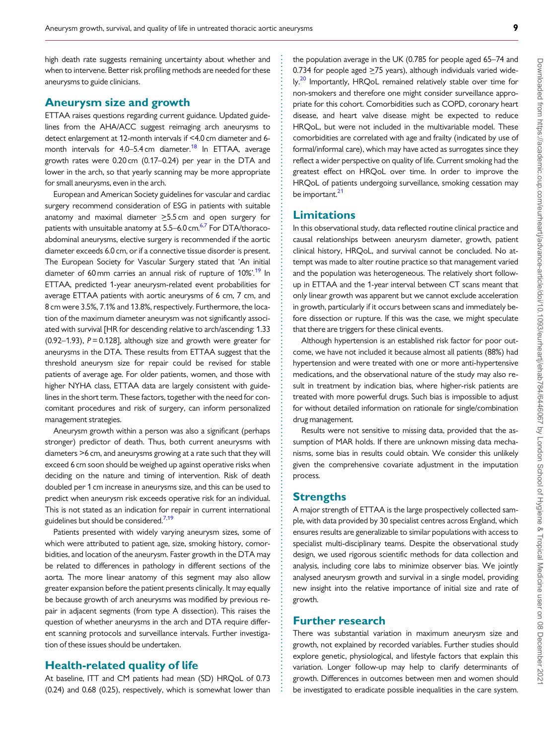<span id="page-8-0"></span>. high death rate suggests remaining uncertainty about whether and when to intervene. Better risk profiling methods are needed for these aneurysms to guide clinicians.

### Aneurysm size and growth

ETTAA raises questions regarding current guidance. Updated guidelines from the AHA/ACC suggest reimaging arch aneurysms to detect enlargement at 12-month intervals if <4.0 cm diameter and 6 month intervals for  $4.0 - 5.4$  cm diameter.<sup>18</sup> In ETTAA, average growth rates were 0.20 cm (0.17–0.24) per year in the DTA and lower in the arch, so that yearly scanning may be more appropriate for small aneurysms, even in the arch.

European and American Society guidelines for vascular and cardiac surgery recommend consideration of ESG in patients with suitable anatomy and maximal diameter  $\geq$ 5.5 cm and open surgery for patients with unsuitable anatomy at 5.5–6.0 cm.<sup>6,7</sup> For DTA/thoracoabdominal aneurysms, elective surgery is recommended if the aortic diameter exceeds 6.0 cm, or if a connective tissue disorder is present. The European Society for Vascular Surgery stated that 'An initial diameter of 60 mm carries an annual risk of rupture of 10%<sup>[19](#page-13-0)</sup> In ETTAA, predicted 1-year aneurysm-related event probabilities for average ETTAA patients with aortic aneurysms of 6 cm, 7 cm, and 8 cm were 3.5%, 7.1% and 13.8%, respectively. Furthermore, the location of the maximum diameter aneurysm was not significantly associated with survival [HR for descending relative to arch/ascending: 1.33 (0.92–1.93),  $P = 0.128$ ], although size and growth were greater for aneurysms in the DTA. These results from ETTAA suggest that the threshold aneurysm size for repair could be revised for stable patients of average age. For older patients, women, and those with higher NYHA class, ETTAA data are largely consistent with guidelines in the short term. These factors, together with the need for concomitant procedures and risk of surgery, can inform personalized management strategies.

Aneurysm growth within a person was also a significant (perhaps stronger) predictor of death. Thus, both current aneurysms with diameters >6 cm, and aneurysms growing at a rate such that they will exceed 6 cm soon should be weighed up against operative risks when deciding on the nature and timing of intervention. Risk of death doubled per 1 cm increase in aneurysms size, and this can be used to predict when aneurysm risk exceeds operative risk for an individual. This is not stated as an indication for repair in current international guidelines but should be considered.<sup>[7,19](#page-13-0)</sup>

Patients presented with widely varying aneurysm sizes, some of which were attributed to patient age, size, smoking history, comorbidities, and location of the aneurysm. Faster growth in the DTA may be related to differences in pathology in different sections of the aorta. The more linear anatomy of this segment may also allow greater expansion before the patient presents clinically. It may equally be because growth of arch aneurysms was modified by previous repair in adjacent segments (from type A dissection). This raises the question of whether aneurysms in the arch and DTA require different scanning protocols and surveillance intervals. Further investigation of these issues should be undertaken.

#### Health-related quality of life

At baseline, ITT and CM patients had mean (SD) HRQoL of 0.73 (0.24) and 0.68 (0.25), respectively, which is somewhat lower than

the population average in the UK (0.785 for people aged 65–74 and 0.734 for people aged  $\geq$ 75 years), although individuals varied wide-ly.<sup>[20](#page-13-0)</sup> Importantly, HROoL remained relatively stable over time for non-smokers and therefore one might consider surveillance appropriate for this cohort. Comorbidities such as COPD, coronary heart disease, and heart valve disease might be expected to reduce HRQoL, but were not included in the multivariable model. These comorbidities are correlated with age and frailty (indicated by use of formal/informal care), which may have acted as surrogates since they reflect a wider perspective on quality of life. Current smoking had the greatest effect on HRQoL over time. In order to improve the HRQoL of patients undergoing surveillance, smoking cessation may be important.<sup>21</sup>

### Limitations

In this observational study, data reflected routine clinical practice and causal relationships between aneurysm diameter, growth, patient clinical history, HRQoL, and survival cannot be concluded. No attempt was made to alter routine practice so that management varied and the population was heterogeneous. The relatively short followup in ETTAA and the 1-year interval between CT scans meant that only linear growth was apparent but we cannot exclude acceleration in growth, particularly if it occurs between scans and immediately before dissection or rupture. If this was the case, we might speculate that there are triggers for these clinical events.

Although hypertension is an established risk factor for poor outcome, we have not included it because almost all patients (88%) had hypertension and were treated with one or more anti-hypertensive medications, and the observational nature of the study may also result in treatment by indication bias, where higher-risk patients are treated with more powerful drugs. Such bias is impossible to adjust for without detailed information on rationale for single/combination drug management.

Results were not sensitive to missing data, provided that the assumption of MAR holds. If there are unknown missing data mechanisms, some bias in results could obtain. We consider this unlikely given the comprehensive covariate adjustment in the imputation process.

#### **Strengths**

A major strength of ETTAA is the large prospectively collected sample, with data provided by 30 specialist centres across England, which ensures results are generalizable to similar populations with access to specialist multi-disciplinary teams. Despite the observational study design, we used rigorous scientific methods for data collection and analysis, including core labs to minimize observer bias. We jointly analysed aneurysm growth and survival in a single model, providing new insight into the relative importance of initial size and rate of growth.

#### Further research

. . . . . . . . . . . . . . . . . . . . . . . . . . . . . . . . . . . . . . . . . . . . . . . . . . . . . . . . . . . . . . . . . . . . . . . . . . . . . . . . . . . . . . . . . . . . . . . . . . . . . . . . . . . . . . . . . . . . . . . . . . . . . . . . . . . . . . . . . . . . . . . . . . . . . . . . . . . . . . . . . . . . . . . . . . . .

There was substantial variation in maximum aneurysm size and growth, not explained by recorded variables. Further studies should explore genetic, physiological, and lifestyle factors that explain this variation. Longer follow-up may help to clarify determinants of growth. Differences in outcomes between men and women should be investigated to eradicate possible inequalities in the care system.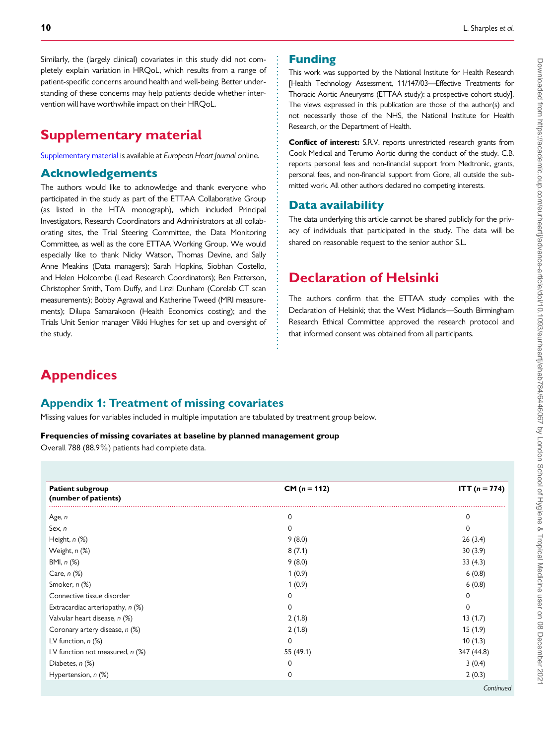<span id="page-9-0"></span>. Similarly, the (largely clinical) covariates in this study did not completely explain variation in HRQoL, which results from a range of patient-specific concerns around health and well-being. Better understanding of these concerns may help patients decide whether intervention will have worthwhile impact on their HRQoL.

# Supplementary material

[Supplementary material](https://academic.oup.com/eurheartj/article-lookup/doi/10.1093/eurheartj/ehab784#supplementary-data) is available at European Heart Journal online.

#### Acknowledgements

The authors would like to acknowledge and thank everyone who participated in the study as part of the ETTAA Collaborative Group (as listed in the HTA monograph), which included Principal Investigators, Research Coordinators and Administrators at all collaborating sites, the Trial Steering Committee, the Data Monitoring Committee, as well as the core ETTAA Working Group. We would especially like to thank Nicky Watson, Thomas Devine, and Sally Anne Meakins (Data managers); Sarah Hopkins, Siobhan Costello, and Helen Holcombe (Lead Research Coordinators); Ben Patterson, Christopher Smith, Tom Duffy, and Linzi Dunham (Corelab CT scan measurements); Bobby Agrawal and Katherine Tweed (MRI measurements); Dilupa Samarakoon (Health Economics costing); and the Trials Unit Senior manager Vikki Hughes for set up and oversight of the study.

### Funding

This work was supported by the National Institute for Health Research [Health Technology Assessment, 11/147/03—Effective Treatments for Thoracic Aortic Aneurysms (ETTAA study): a prospective cohort study]. The views expressed in this publication are those of the author(s) and not necessarily those of the NHS, the National Institute for Health Research, or the Department of Health.

Conflict of interest: S.R.V. reports unrestricted research grants from Cook Medical and Terumo Aortic during the conduct of the study. C.B. reports personal fees and non-financial support from Medtronic, grants, personal fees, and non-financial support from Gore, all outside the submitted work. All other authors declared no competing interests.

### Data availability

The data underlying this article cannot be shared publicly for the privacy of individuals that participated in the study. The data will be shared on reasonable request to the senior author S.L.

# Declaration of Helsinki

The authors confirm that the ETTAA study complies with the Declaration of Helsinki; that the West Midlands—South Birmingham Research Ethical Committee approved the research protocol and that informed consent was obtained from all participants.

# **Appendices**

### Appendix 1: Treatment of missing covariates

Missing values for variables included in multiple imputation are tabulated by treatment group below.

#### Frequencies of missing covariates at baseline by planned management group

Overall 788 (88.9%) patients had complete data.

| <b>Patient subgroup</b><br>(number of patients) | $CM (n = 112)$ | <b>ITT</b> $(n = 774)$ |
|-------------------------------------------------|----------------|------------------------|
| Age, n                                          | 0              | 0                      |
| Sex, n                                          | $\Omega$       | 0                      |
| Height, n (%)                                   | 9(8.0)         | 26(3.4)                |
| Weight, n (%)                                   | 8(7.1)         | 30(3.9)                |
| BMI, n (%)                                      | 9(8.0)         | 33(4.3)                |
| Care, $n$ $(\%)$                                | 1(0.9)         | 6(0.8)                 |
| Smoker, n (%)                                   | 1(0.9)         | 6(0.8)                 |
| Connective tissue disorder                      | 0              | 0                      |
| Extracardiac arteriopathy, n (%)                | $\Omega$       | $\Omega$               |
| Valvular heart disease, n (%)                   | 2(1.8)         | 13(1.7)                |
| Coronary artery disease, n (%)                  | 2(1.8)         | 15(1.9)                |
| LV function, $n$ $(\%)$                         | $\Omega$       | 10(1.3)                |
| LV function not measured, n (%)                 | 55 (49.1)      | 347 (44.8)             |
| Diabetes, $n$ $(\%)$                            | 0              | 3(0.4)                 |
| Hypertension, n (%)                             | 0              | 2(0.3)                 |

. . . . . . . . . . . . . . . . . . . . . . . . . . . . . . . . . . . . . . . . . . . . . . . . . . . . . . . . . . . . . . . . . . . . . . . . . . . . . . .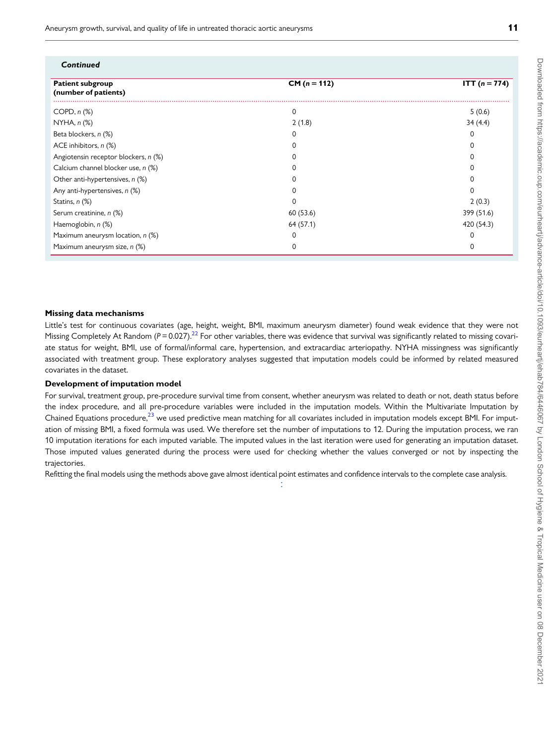<span id="page-10-0"></span>Aneurysm growth, survival, and quality of life in untreated thoracic aortic aneurysms **11** 

| Continued                                       |                |                 |
|-------------------------------------------------|----------------|-----------------|
| <b>Patient subgroup</b><br>(number of patients) | $CM (n = 112)$ | $ITT (n = 774)$ |
| $COPD, n (\%)$                                  | 0              | 5(0.6)          |
| $NYHA, n (\%)$                                  | 2(1.8)         | 34(4.4)         |
| Beta blockers, n (%)                            | 0              | 0               |
| ACE inhibitors, n (%)                           | 0              | 0               |
| Angiotensin receptor blockers, n (%)            | 0              |                 |
| Calcium channel blocker use, n (%)              | 0              |                 |
| Other anti-hypertensives, n (%)                 | O              |                 |
| Any anti-hypertensives, n (%)                   | O              | 0               |
| Statins, n (%)                                  | O              | 2(0.3)          |
| Serum creatinine, n (%)                         | 60 (53.6)      | 399 (51.6)      |
| Haemoglobin, n (%)                              | 64 (57.1)      | 420 (54.3)      |
| Maximum aneurysm location, n (%)                | 0              |                 |
| Maximum aneurysm size, n (%)                    | 0              | 0               |

#### Missing data mechanisms

Little's test for continuous covariates (age, height, weight, BMI, maximum aneurysm diameter) found weak evidence that they were not Missing Completely At Random ( $P = 0.027$ ).<sup>[22](#page-13-0)</sup> For other variables, there was evidence that survival was significantly related to missing covariate status for weight, BMI, use of formal/informal care, hypertension, and extracardiac arteriopathy. NYHA missingness was significantly associated with treatment group. These exploratory analyses suggested that imputation models could be informed by related measured covariates in the dataset.

#### Development of imputation model

For survival, treatment group, pre-procedure survival time from consent, whether aneurysm was related to death or not, death status before the index procedure, and all pre-procedure variables were included in the imputation models. Within the Multivariate Imputation by Chained Equations procedure, $^{23}$  $^{23}$  $^{23}$  we used predictive mean matching for all covariates included in imputation models except BMI. For imputation of missing BMI, a fixed formula was used. We therefore set the number of imputations to 12. During the imputation process, we ran 10 imputation iterations for each imputed variable. The imputed values in the last iteration were used for generating an imputation dataset. Those imputed values generated during the process were used for checking whether the values converged or not by inspecting the trajectories.

. . Refitting the final models using the methods above gave almost identical point estimates and confidence intervals to the complete case analysis.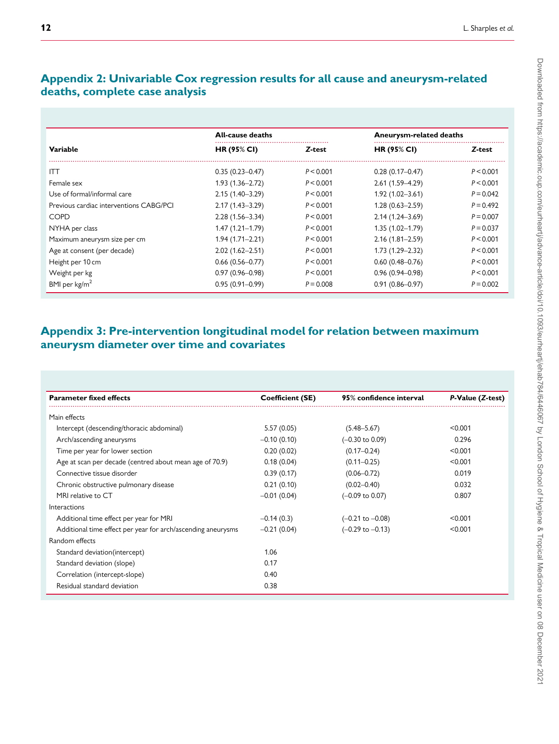# <span id="page-11-0"></span>Appendix 2: Univariable Cox regression results for all cause and aneurysm-related deaths, complete case analysis

|                                         | <b>All-cause deaths</b> |             | <b>Aneurysm-related deaths</b> |             |
|-----------------------------------------|-------------------------|-------------|--------------------------------|-------------|
| Variable                                | HR (95% CI)             | Z-test      | <b>HR (95% CI)</b>             | Z-test      |
| <b>ITT</b>                              | $0.35(0.23 - 0.47)$     | P < 0.001   | $0.28(0.17 - 0.47)$            | P < 0.001   |
| Female sex                              | $1.93(1.36 - 2.72)$     | P < 0.001   | $2.61(1.59 - 4.29)$            | P < 0.001   |
| Use of formal/informal care             | $2.15(1.40 - 3.29)$     | P < 0.001   | $1.92(1.02 - 3.61)$            | $P = 0.042$ |
| Previous cardiac interventions CABG/PCI | $2.17(1.43 - 3.29)$     | P < 0.001   | $1.28(0.63 - 2.59)$            | $P = 0.492$ |
| <b>COPD</b>                             | $2.28(1.56 - 3.34)$     | P < 0.001   | $2.14(1.24 - 3.69)$            | $P = 0.007$ |
| NYHA per class                          | $1.47(1.21 - 1.79)$     | P < 0.001   | $1.35(1.02 - 1.79)$            | $P = 0.037$ |
| Maximum aneurysm size per cm            | $1.94(1.71 - 2.21)$     | P < 0.001   | $2.16(1.81 - 2.59)$            | P < 0.001   |
| Age at consent (per decade)             | $2.02(1.62 - 2.51)$     | P < 0.001   | $1.73(1.29 - 2.32)$            | P < 0.001   |
| Height per 10 cm                        | $0.66(0.56 - 0.77)$     | P < 0.001   | $0.60(0.48 - 0.76)$            | P < 0.001   |
| Weight per kg                           | $0.97(0.96 - 0.98)$     | P < 0.001   | $0.96(0.94 - 0.98)$            | P < 0.001   |
| BMI per $kg/m2$                         | $0.95(0.91 - 0.99)$     | $P = 0.008$ | $0.91(0.86 - 0.97)$            | $P = 0.002$ |

# Appendix 3: Pre-intervention longitudinal model for relation between maximum aneurysm diameter over time and covariates

| <b>Parameter fixed effects</b>                               | <b>Coefficient (SE)</b> | 95% confidence interval     | P-Value (Z-test) |
|--------------------------------------------------------------|-------------------------|-----------------------------|------------------|
| Main effects                                                 |                         |                             |                  |
| Intercept (descending/thoracic abdominal)                    | 5.57(0.05)              | $(5.48 - 5.67)$             | < 0.001          |
| Arch/ascending aneurysms                                     | $-0.10(0.10)$           | $(-0.30 \text{ to } 0.09)$  | 0.296            |
| Time per year for lower section                              | 0.20(0.02)              | $(0.17 - 0.24)$             | < 0.001          |
| Age at scan per decade (centred about mean age of 70.9)      | 0.18(0.04)              | $(0.11 - 0.25)$             | < 0.001          |
| Connective tissue disorder                                   | 0.39(0.17)              | $(0.06 - 0.72)$             | 0.019            |
| Chronic obstructive pulmonary disease                        | 0.21(0.10)              | $(0.02 - 0.40)$             | 0.032            |
| MRI relative to CT                                           | $-0.01(0.04)$           | $(-0.09$ to 0.07)           | 0.807            |
| Interactions                                                 |                         |                             |                  |
| Additional time effect per year for MRI                      | $-0.14(0.3)$            | $(-0.21 \text{ to } -0.08)$ | < 0.001          |
| Additional time effect per year for arch/ascending aneurysms | $-0.21(0.04)$           | $(-0.29 \text{ to } -0.13)$ | < 0.001          |
| Random effects                                               |                         |                             |                  |
| Standard deviation (intercept)                               | 1.06                    |                             |                  |
| Standard deviation (slope)                                   | 0.17                    |                             |                  |
| Correlation (intercept-slope)                                | 0.40                    |                             |                  |
| Residual standard deviation                                  | 0.38                    |                             |                  |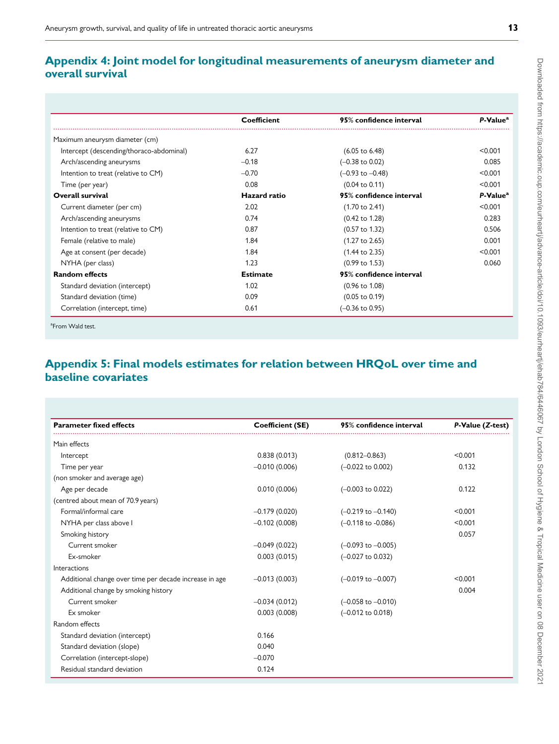# <span id="page-12-0"></span>Appendix 4: Joint model for longitudinal measurements of aneurysm diameter and overall survival

|                                          | <b>Coefficient</b> | 95% confidence interval     | P-Value <sup>a</sup> |
|------------------------------------------|--------------------|-----------------------------|----------------------|
| Maximum aneurysm diameter (cm)           |                    |                             |                      |
| Intercept (descending/thoraco-abdominal) | 6.27               | $(6.05 \text{ to } 6.48)$   | < 0.001              |
| Arch/ascending aneurysms                 | $-0.18$            | $(-0.38 \text{ to } 0.02)$  | 0.085                |
| Intention to treat (relative to CM)      | $-0.70$            | $(-0.93 \text{ to } -0.48)$ | < 0.001              |
| Time (per year)                          | 0.08               | $(0.04 \text{ to } 0.11)$   | < 0.001              |
| <b>Overall survival</b>                  | Hazard ratio       | 95% confidence interval     | P-Value <sup>a</sup> |
| Current diameter (per cm)                | 2.02               | $(1.70 \text{ to } 2.41)$   | < 0.001              |
| Arch/ascending aneurysms                 | 0.74               | $(0.42 \text{ to } 1.28)$   | 0.283                |
| Intention to treat (relative to CM)      | 0.87               | $(0.57 \text{ to } 1.32)$   | 0.506                |
| Female (relative to male)                | 1.84               | $(1.27 \text{ to } 2.65)$   | 0.001                |
| Age at consent (per decade)              | 1.84               | $(1.44 \text{ to } 2.35)$   | < 0.001              |
| NYHA (per class)                         | 1.23               | $(0.99 \text{ to } 1.53)$   | 0.060                |
| <b>Random effects</b>                    | <b>Estimate</b>    | 95% confidence interval     |                      |
| Standard deviation (intercept)           | 1.02               | $(0.96 \text{ to } 1.08)$   |                      |
| Standard deviation (time)                | 0.09               | $(0.05 \text{ to } 0.19)$   |                      |
| Correlation (intercept, time)            | 0.61               | $(-0.36 \text{ to } 0.95)$  |                      |

<sup>a</sup>From Wald test.

# Appendix 5: Final models estimates for relation between HRQoL over time and baseline covariates

| <b>Parameter fixed effects</b>                         | <b>Coefficient (SE)</b> | 95% confidence interval       | P-Value (Z-test) |
|--------------------------------------------------------|-------------------------|-------------------------------|------------------|
| Main effects                                           |                         |                               |                  |
| Intercept                                              | 0.838(0.013)            | $(0.812 - 0.863)$             | < 0.001          |
| Time per year                                          | $-0.010(0.006)$         | $(-0.022$ to $0.002)$         | 0.132            |
| (non smoker and average age)                           |                         |                               |                  |
| Age per decade                                         | 0.010(0.006)            | $(-0.003$ to $0.022)$         | 0.122            |
| (centred about mean of 70.9 years)                     |                         |                               |                  |
| Formal/informal care                                   | $-0.179(0.020)$         | $(-0.219$ to $-0.140)$        | < 0.001          |
| NYHA per class above I                                 | $-0.102(0.008)$         | $(-0.118 \text{ to } -0.086)$ | < 0.001          |
| Smoking history                                        |                         |                               | 0.057            |
| Current smoker                                         | $-0.049(0.022)$         | $(-0.093$ to $-0.005)$        |                  |
| Ex-smoker                                              | 0.003(0.015)            | (-0.027 to 0.032)             |                  |
| Interactions                                           |                         |                               |                  |
| Additional change over time per decade increase in age | $-0.013(0.003)$         | $(-0.019$ to $-0.007)$        | < 0.001          |
| Additional change by smoking history                   |                         |                               | 0.004            |
| Current smoker                                         | $-0.034(0.012)$         | $(-0.058$ to $-0.010)$        |                  |
| Ex smoker                                              | 0.003(0.008)            | $(-0.012 \text{ to } 0.018)$  |                  |
| Random effects                                         |                         |                               |                  |
| Standard deviation (intercept)                         | 0.166                   |                               |                  |
| Standard deviation (slope)                             | 0.040                   |                               |                  |
| Correlation (intercept-slope)                          | $-0.070$                |                               |                  |
| Residual standard deviation                            | 0.124                   |                               |                  |